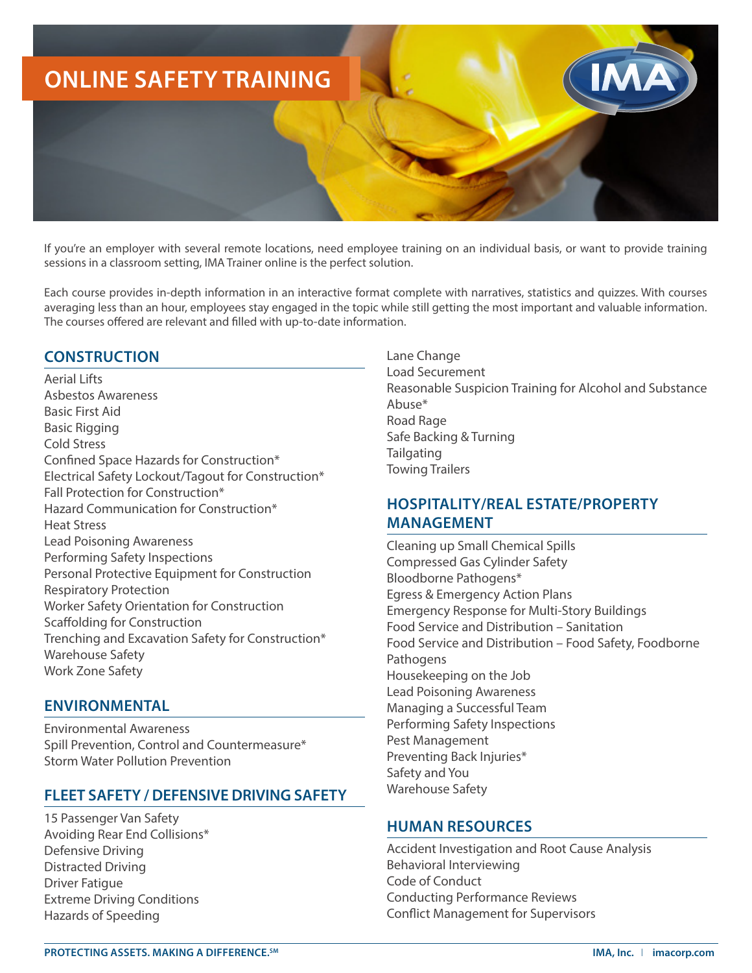

If you're an employer with several remote locations, need employee training on an individual basis, or want to provide training sessions in a classroom setting, IMA Trainer online is the perfect solution.

Each course provides in-depth information in an interactive format complete with narratives, statistics and quizzes. With courses averaging less than an hour, employees stay engaged in the topic while still getting the most important and valuable information. The courses offered are relevant and filled with up-to-date information.

## **CONSTRUCTION**

Aerial Lifts Asbestos Awareness Basic First Aid Basic Rigging Cold Stress Confined Space Hazards for Construction\* Electrical Safety Lockout/Tagout for Construction\* Fall Protection for Construction\* Hazard Communication for Construction\* Heat Stress Lead Poisoning Awareness Performing Safety Inspections Personal Protective Equipment for Construction Respiratory Protection Worker Safety Orientation for Construction Scaffolding for Construction Trenching and Excavation Safety for Construction\* Warehouse Safety Work Zone Safety

### **ENVIRONMENTAL**

Environmental Awareness Spill Prevention, Control and Countermeasure\* Storm Water Pollution Prevention

### **FLEET SAFETY / DEFENSIVE DRIVING SAFETY**

15 Passenger Van Safety Avoiding Rear End Collisions\* Defensive Driving Distracted Driving Driver Fatigue Extreme Driving Conditions Hazards of Speeding

Lane Change Load Securement Reasonable Suspicion Training for Alcohol and Substance Abuse\* Road Rage Safe Backing & Turning **Tailgating** Towing Trailers

## **HOSPITALITY/REAL ESTATE/PROPERTY MANAGEMENT**

Cleaning up Small Chemical Spills Compressed Gas Cylinder Safety Bloodborne Pathogens\* Egress & Emergency Action Plans Emergency Response for Multi-Story Buildings Food Service and Distribution – Sanitation Food Service and Distribution – Food Safety, Foodborne Pathogens Housekeeping on the Job Lead Poisoning Awareness Managing a Successful Team Performing Safety Inspections Pest Management Preventing Back Injuries\* Safety and You Warehouse Safety

### **HUMAN RESOURCES**

Accident Investigation and Root Cause Analysis Behavioral Interviewing Code of Conduct Conducting Performance Reviews Conflict Management for Supervisors